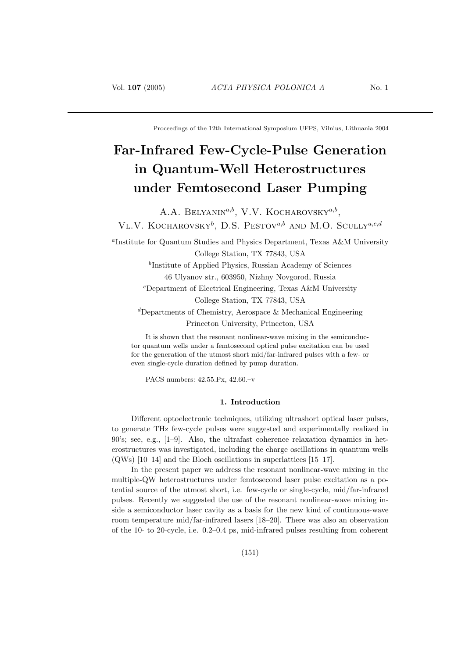Proceedings of the 12th International Symposium UFPS, Vilnius, Lithuania 2004

# Far-Infrared Few-Cycle-Pulse Generation in Quantum-Well Heterostructures under Femtosecond Laser Pumping

A.A. BELYANIN<sup>a,b</sup>, V.V. KOCHAROVSKY<sup>a,b</sup>, VL.V. KOCHAROVSKY<sup>b</sup>, D.S. PESTOV<sup>a,b</sup> AND M.O. SCULLY<sup>a,c,d</sup>

a Institute for Quantum Studies and Physics Department, Texas A&M University College Station, TX 77843, USA

> b Institute of Applied Physics, Russian Academy of Sciences 46 Ulyanov str., 603950, Nizhny Novgorod, Russia

 $c$ Department of Electrical Engineering, Texas A&M University College Station, TX 77843, USA

 ${}^d$ Departments of Chemistry, Aerospace & Mechanical Engineering Princeton University, Princeton, USA

It is shown that the resonant nonlinear-wave mixing in the semiconductor quantum wells under a femtosecond optical pulse excitation can be used for the generation of the utmost short mid/far-infrared pulses with a few- or even single-cycle duration defined by pump duration.

PACS numbers: 42.55.Px, 42.60.–v

## 1. Introduction

Different optoelectronic techniques, utilizing ultrashort optical laser pulses, to generate THz few-cycle pulses were suggested and experimentally realized in 90's; see, e.g., [1–9]. Also, the ultrafast coherence relaxation dynamics in heterostructures was investigated, including the charge oscillations in quantum wells (QWs) [10–14] and the Bloch oscillations in superlattices [15–17].

In the present paper we address the resonant nonlinear-wave mixing in the multiple-QW heterostructures under femtosecond laser pulse excitation as a potential source of the utmost short, i.e. few-cycle or single-cycle, mid/far-infrared pulses. Recently we suggested the use of the resonant nonlinear-wave mixing inside a semiconductor laser cavity as a basis for the new kind of continuous-wave room temperature mid/far-infrared lasers [18–20]. There was also an observation of the 10- to 20-cycle, i.e. 0.2–0.4 ps, mid-infrared pulses resulting from coherent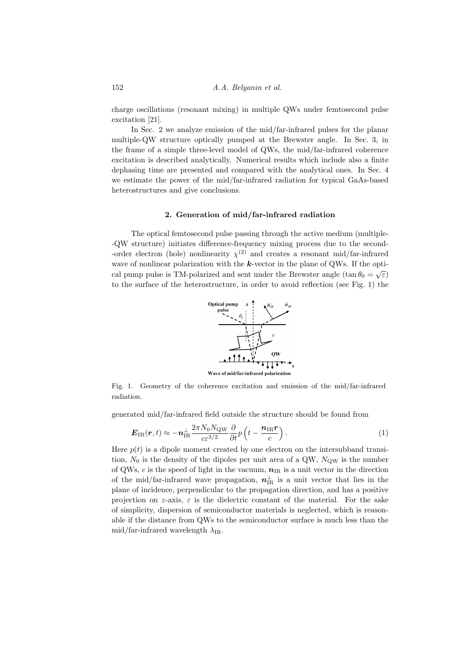charge oscillations (resonant mixing) in multiple QWs under femtosecond pulse excitation [21].

In Sec. 2 we analyze emission of the mid/far-infrared pulses for the planar multiple-QW structure optically pumped at the Brewster angle. In Sec. 3, in the frame of a simple three-level model of QWs, the mid/far-infrared coherence excitation is described analytically. Numerical results which include also a finite dephasing time are presented and compared with the analytical ones. In Sec. 4 we estimate the power of the mid/far-infrared radiation for typical GaAs-based heterostructures and give conclusions.

## 2. Generation of mid/far-infrared radiation

The optical femtosecond pulse passing through the active medium (multiple- -QW structure) initiates difference-frequency mixing process due to the second- -order electron (hole) nonlinearity  $\chi^{(2)}$  and creates a resonant mid/far-infrared wave of nonlinear polarization with the k-vector in the plane of QWs. If the opti-√ cal pump pulse is TM-polarized and sent under the Brewster angle  $(\tan \theta_0 = \sqrt{\varepsilon})$ to the surface of the heterostructure, in order to avoid reflection (see Fig. 1) the



Wave of mid/far-infrared polarization

Fig. 1. Geometry of the coherence excitation and emission of the mid/far-infrared radiation.

generated mid/far-infrared field outside the structure should be found from

$$
\boldsymbol{E}_{\text{IR}}(\boldsymbol{r},t) \approx -\boldsymbol{n}_{\text{IR}}^{\perp} \frac{2\pi N_0 N_{\text{QW}}}{c \varepsilon^{3/2}} \frac{\partial}{\partial t} p \left( t - \frac{\boldsymbol{n}_{\text{IR}} \boldsymbol{r}}{c} \right). \tag{1}
$$

Here  $p(t)$  is a dipole moment created by one electron on the intersubband transition,  $N_0$  is the density of the dipoles per unit area of a QW,  $N_{\text{OW}}$  is the number of QWs, c is the speed of light in the vacuum,  $n_{IR}$  is a unit vector in the direction of the mid/far-infrared wave propagation,  $n_{\text{IR}}^{\perp}$  is a unit vector that lies in the plane of incidence, perpendicular to the propagation direction, and has a positive projection on z-axis,  $\varepsilon$  is the dielectric constant of the material. For the sake of simplicity, dispersion of semiconductor materials is neglected, which is reasonable if the distance from QWs to the semiconductor surface is much less than the mid/far-infrared wavelength  $\lambda_{IR}$ .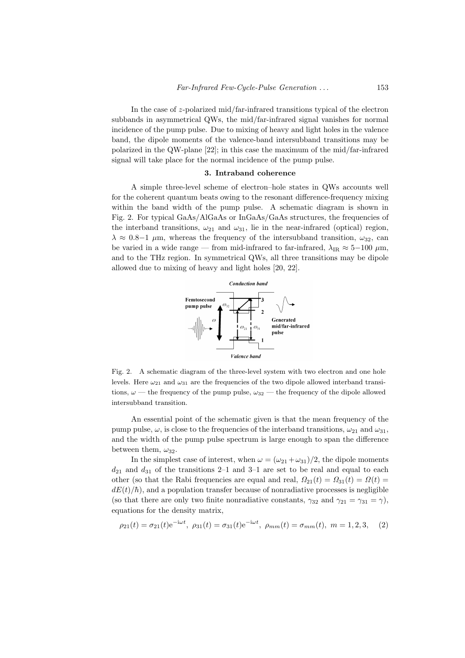In the case of z-polarized mid/far-infrared transitions typical of the electron subbands in asymmetrical QWs, the mid/far-infrared signal vanishes for normal incidence of the pump pulse. Due to mixing of heavy and light holes in the valence band, the dipole moments of the valence-band intersubband transitions may be polarized in the QW-plane [22]; in this case the maximum of the mid/far-infrared signal will take place for the normal incidence of the pump pulse.

#### 3. Intraband coherence

A simple three-level scheme of electron–hole states in QWs accounts well for the coherent quantum beats owing to the resonant difference-frequency mixing within the band width of the pump pulse. A schematic diagram is shown in Fig. 2. For typical GaAs/AlGaAs or InGaAs/GaAs structures, the frequencies of the interband transitions,  $\omega_{21}$  and  $\omega_{31}$ , lie in the near-infrared (optical) region,  $\lambda \approx 0.8-1$  μm, whereas the frequency of the intersubband transition,  $\omega_{32}$ , can be varied in a wide range — from mid-infrared to far-infrared,  $\lambda_{\rm IR} \approx 5-100 \mu m$ , and to the THz region. In symmetrical QWs, all three transitions may be dipole allowed due to mixing of heavy and light holes [20, 22].



Fig. 2. A schematic diagram of the three-level system with two electron and one hole levels. Here  $\omega_{21}$  and  $\omega_{31}$  are the frequencies of the two dipole allowed interband transitions,  $\omega$  — the frequency of the pump pulse,  $\omega_{32}$  — the frequency of the dipole allowed intersubband transition.

An essential point of the schematic given is that the mean frequency of the pump pulse,  $\omega$ , is close to the frequencies of the interband transitions,  $\omega_{21}$  and  $\omega_{31}$ , and the width of the pump pulse spectrum is large enough to span the difference between them,  $\omega_{32}$ .

In the simplest case of interest, when  $\omega = (\omega_{21} + \omega_{31})/2$ , the dipole moments  $d_{21}$  and  $d_{31}$  of the transitions 2–1 and 3–1 are set to be real and equal to each other (so that the Rabi frequencies are equal and real,  $\Omega_{21}(t) = \Omega_{31}(t) = \Omega(t)$  $dE(t)/\hbar$ , and a population transfer because of nonradiative processes is negligible (so that there are only two finite nonradiative constants,  $\gamma_{32}$  and  $\gamma_{21} = \gamma_{31} = \gamma$ ), equations for the density matrix,

$$
\rho_{21}(t) = \sigma_{21}(t)e^{-i\omega t}, \ \rho_{31}(t) = \sigma_{31}(t)e^{-i\omega t}, \ \rho_{mm}(t) = \sigma_{mm}(t), \ m = 1, 2, 3, \tag{2}
$$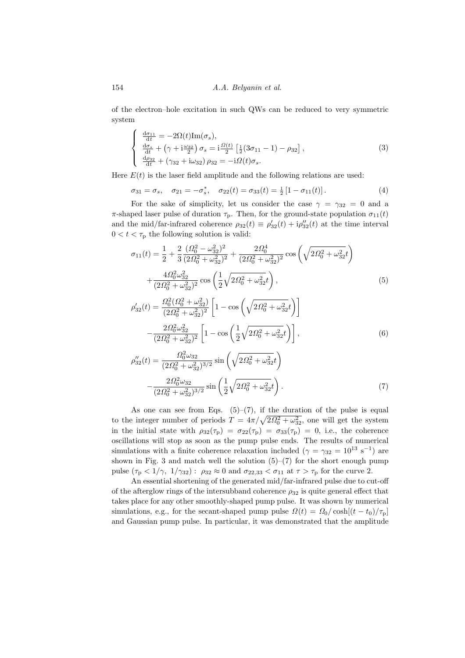154 *A.A. Belyanin et al.* 

of the electron–hole excitation in such QWs can be reduced to very symmetric system  $\overline{a}$ 

$$
\begin{cases}\n\frac{d\sigma_{11}}{dt} = -2\Omega(t)\text{Im}(\sigma_s),\\ \n\frac{d\sigma_s}{dt} + (\gamma + i\frac{\omega_{32}}{2}) \sigma_s = i\frac{\Omega(t)}{2} \left[ \frac{1}{2} (3\sigma_{11} - 1) - \rho_{32} \right],\\ \n\frac{d\rho_{32}}{dt} + (\gamma_{32} + i\omega_{32}) \rho_{32} = -i\Omega(t)\sigma_s.\n\end{cases}
$$
\n(3)

Here  $E(t)$  is the laser field amplitude and the following relations are used:

$$
\sigma_{31} = \sigma_s, \quad \sigma_{21} = -\sigma_s^*, \quad \sigma_{22}(t) = \sigma_{33}(t) = \frac{1}{2} \left[ 1 - \sigma_{11}(t) \right]. \tag{4}
$$

For the sake of simplicity, let us consider the case  $\gamma = \gamma_{32} = 0$  and a π-shaped laser pulse of duration  $\tau_p$ . Then, for the ground-state population  $\sigma_{11}(t)$ and the mid/far-infrared coherence  $\rho_{32}(t) \equiv \rho'_{32}(t) + i \rho''_{32}(t)$  at the time interval  $0 < t < \tau_{\rm p}$  the following solution is valid:

$$
\sigma_{11}(t) = \frac{1}{2} + \frac{2}{3} \frac{(\Omega_0^2 - \omega_{32}^2)^2}{(2\Omega_0^2 + \omega_{32}^2)^2} + \frac{2\Omega_0^4}{(2\Omega_0^2 + \omega_{32}^2)^2} \cos\left(\sqrt{2\Omega_0^2 + \omega_{32}^2}t\right) + \frac{4\Omega_0^2 \omega_{32}^2}{(2\Omega_0^2 + \omega_{32}^2)^2} \cos\left(\frac{1}{2}\sqrt{2\Omega_0^2 + \omega_{32}^2}t\right),
$$
\n(5)

$$
\rho'_{32}(t) = \frac{\Omega_0^2 (\Omega_0^2 + \omega_{32}^2)}{(2\Omega_0^2 + \omega_{32}^2)^2} \left[ 1 - \cos\left(\sqrt{2\Omega_0^2 + \omega_{32}^2 t}\right) \right]
$$

$$
- \frac{2\Omega_0^2 \omega_{32}^2}{(2\Omega_0^2 + \omega_{32}^2)^2} \left[ 1 - \cos\left(\frac{1}{2}\sqrt{2\Omega_0^2 + \omega_{32}^2 t}\right) \right],
$$
(6)

$$
\rho_{32}^{\prime\prime}(t) = \frac{\Omega_0^2 \omega_{32}}{(2\Omega_0^2 + \omega_{32}^2)^{3/2}} \sin\left(\sqrt{2\Omega_0^2 + \omega_{32}^2}t\right) -\frac{2\Omega_0^2 \omega_{32}}{(2\Omega_0^2 + \omega_{32}^2)^{3/2}} \sin\left(\frac{1}{2}\sqrt{2\Omega_0^2 + \omega_{32}^2}t\right).
$$
\n(7)

As one can see from Eqs.  $(5)-(7)$ , if the duration of the pulse is equal As one can see from Eqs. (3)–(*t*), if the duration of the pulse is equal to the integer number of periods  $T = 4\pi/\sqrt{2\Omega_0^2 + \omega_{32}^2}$ , one will get the system in the initial state with  $\rho_{32}(\tau_{\rm p}) = \sigma_{22}(\tau_{\rm p}) = \sigma_{33}(\tau_{\rm p}) = 0$ , i.e., the coherence oscillations will stop as soon as the pump pulse ends. The results of numerical simulations with a finite coherence relaxation included  $(\gamma = \gamma_{32} = 10^{13} \text{ s}^{-1})$  are shown in Fig. 3 and match well the solution  $(5)-(7)$  for the short enough pump pulse  $(\tau_{\rm p} < 1/\gamma, 1/\gamma_{32})$ :  $\rho_{32} \approx 0$  and  $\sigma_{22,33} < \sigma_{11}$  at  $\tau > \tau_{\rm p}$  for the curve 2.

An essential shortening of the generated mid/far-infrared pulse due to cut-off of the afterglow rings of the intersubband coherence  $\rho_{32}$  is quite general effect that takes place for any other smoothly-shaped pump pulse. It was shown by numerical simulations, e.g., for the secant-shaped pump pulse  $\Omega(t) = \Omega_0 / \cosh[(t - t_0)/\tau_{\rm p}]$ and Gaussian pump pulse. In particular, it was demonstrated that the amplitude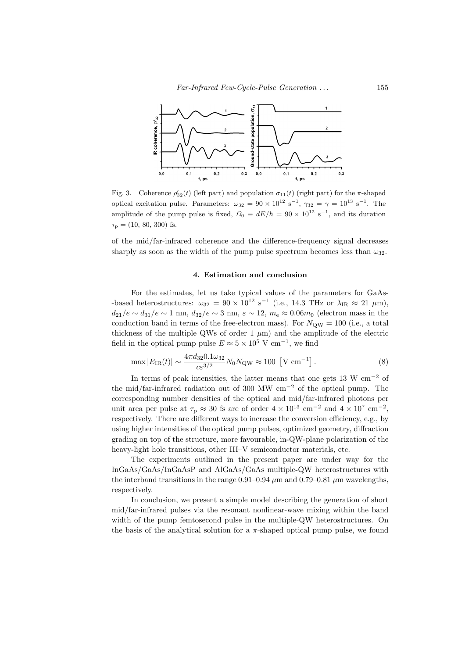

Fig. 3. Coherence  $\rho'_{32}(t)$  (left part) and population  $\sigma_{11}(t)$  (right part) for the  $\pi$ -shaped optical excitation pulse. Parameters:  $\omega_{32} = 90 \times 10^{12} \text{ s}^{-1}$ ,  $\gamma_{32} = \gamma = 10^{13} \text{ s}^{-1}$ . The amplitude of the pump pulse is fixed,  $\Omega_0 \equiv dE/\hbar = 90 \times 10^{12} \text{ s}^{-1}$ , and its duration  $\tau_{\rm p} = (10, 80, 300)$  fs.

of the mid/far-infrared coherence and the difference-frequency signal decreases sharply as soon as the width of the pump pulse spectrum becomes less than  $\omega_{32}$ .

#### 4. Estimation and conclusion

For the estimates, let us take typical values of the parameters for GaAs based heterostructures:  $\omega_{32} = 90 \times 10^{12} \text{ s}^{-1}$  (i.e., 14.3 THz or  $\lambda_{IR} \approx 21 \text{ }\mu\text{m}$ ),  $d_{21}/e \sim d_{31}/e \sim 1$  nm,  $d_{32}/e \sim 3$  nm,  $\varepsilon \sim 12$ ,  $m_e \approx 0.06m_0$  (electron mass in the conduction band in terms of the free-electron mass). For  $N_{\text{QW}} = 100$  (i.e., a total thickness of the multiple QWs of order 1  $\mu$ m) and the amplitude of the electric field in the optical pump pulse  $E \approx 5 \times 10^5$  V cm<sup>-1</sup>, we find

$$
\max |E_{\rm IR}(t)| \sim \frac{4\pi d_{32} 0.1 \omega_{32}}{c \varepsilon^{3/2}} N_0 N_{\rm QW} \approx 100 \, \left[ \text{V cm}^{-1} \right]. \tag{8}
$$

In terms of peak intensities, the latter means that one gets 13 W  $cm^{-2}$  of the mid/far-infrared radiation out of 300 MW cm<sup>−</sup><sup>2</sup> of the optical pump. The corresponding number densities of the optical and mid/far-infrared photons per unit area per pulse at  $\tau_{\rm p} \approx 30$  fs are of order  $4 \times 10^{13}$  cm<sup>-2</sup> and  $4 \times 10^{7}$  cm<sup>-2</sup>, respectively. There are different ways to increase the conversion efficiency, e.g., by using higher intensities of the optical pump pulses, optimized geometry, diffraction grading on top of the structure, more favourable, in-QW-plane polarization of the heavy-light hole transitions, other III–V semiconductor materials, etc.

The experiments outlined in the present paper are under way for the InGaAs/GaAs/InGaAsP and AlGaAs/GaAs multiple-QW heterostructures with the interband transitions in the range 0.91–0.94  $\mu$ m and 0.79–0.81  $\mu$ m wavelengths, respectively.

In conclusion, we present a simple model describing the generation of short mid/far-infrared pulses via the resonant nonlinear-wave mixing within the band width of the pump femtosecond pulse in the multiple-QW heterostructures. On the basis of the analytical solution for a  $\pi$ -shaped optical pump pulse, we found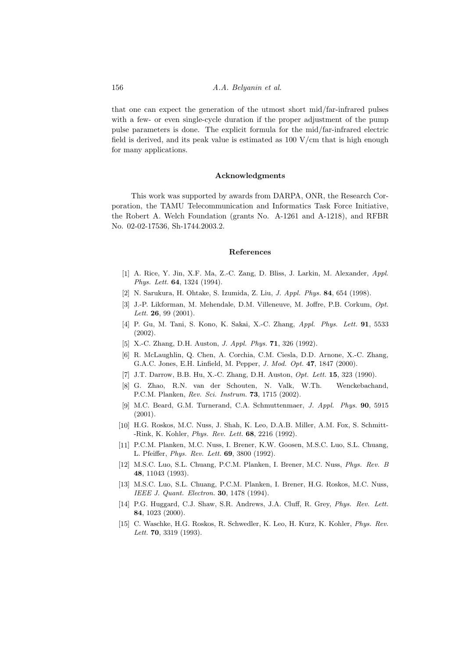that one can expect the generation of the utmost short mid/far-infrared pulses with a few- or even single-cycle duration if the proper adjustment of the pump pulse parameters is done. The explicit formula for the mid/far-infrared electric field is derived, and its peak value is estimated as 100 V/cm that is high enough for many applications.

## Acknowledgments

This work was supported by awards from DARPA, ONR, the Research Corporation, the TAMU Telecommunication and Informatics Task Force Initiative, the Robert A. Welch Foundation (grants No. A-1261 and A-1218), and RFBR No. 02-02-17536, Sh-1744.2003.2.

### References

- [1] A. Rice, Y. Jin, X.F. Ma, Z.-C. Zang, D. Bliss, J. Larkin, M. Alexander, Appl. Phys. Lett. 64, 1324 (1994).
- [2] N. Sarukura, H. Ohtake, S. Izumida, Z. Liu, J. Appl. Phys. 84, 654 (1998).
- [3] J.-P. Likforman, M. Mehendale, D.M. Villeneuve, M. Joffre, P.B. Corkum, Opt. Lett. **26**, 99 (2001).
- [4] P. Gu, M. Tani, S. Kono, K. Sakai, X.-C. Zhang, Appl. Phys. Lett. 91, 5533 (2002).
- [5] X.-C. Zhang, D.H. Auston, J. Appl. Phys. 71, 326 (1992).
- [6] R. McLaughlin, Q. Chen, A. Corchia, C.M. Ciesla, D.D. Arnone, X.-C. Zhang, G.A.C. Jones, E.H. Linfield, M. Pepper, J. Mod. Opt. 47, 1847 (2000).
- [7] J.T. Darrow, B.B. Hu, X.-C. Zhang, D.H. Auston, Opt. Lett. 15, 323 (1990).
- [8] G. Zhao, R.N. van der Schouten, N. Valk, W.Th. Wenckebachand, P.C.M. Planken, Rev. Sci. Instrum. 73, 1715 (2002).
- [9] M.C. Beard, G.M. Turnerand, C.A. Schmuttenmaer, J. Appl. Phys. 90, 5915 (2001).
- [10] H.G. Roskos, M.C. Nuss, J. Shah, K. Leo, D.A.B. Miller, A.M. Fox, S. Schmitt- -Rink, K. Kohler, Phys. Rev. Lett. 68, 2216 (1992).
- [11] P.C.M. Planken, M.C. Nuss, I. Brener, K.W. Goosen, M.S.C. Luo, S.L. Chuang, L. Pfeiffer, Phys. Rev. Lett. 69, 3800 (1992).
- [12] M.S.C. Luo, S.L. Chuang, P.C.M. Planken, I. Brener, M.C. Nuss, Phys. Rev. B 48, 11043 (1993).
- [13] M.S.C. Luo, S.L. Chuang, P.C.M. Planken, I. Brener, H.G. Roskos, M.C. Nuss, IEEE J. Quant. Electron. 30, 1478 (1994).
- [14] P.G. Huggard, C.J. Shaw, S.R. Andrews, J.A. Cluff, R. Grey, Phys. Rev. Lett. 84, 1023 (2000).
- [15] C. Waschke, H.G. Roskos, R. Schwedler, K. Leo, H. Kurz, K. Kohler, Phys. Rev. Lett. **70**, 3319 (1993).